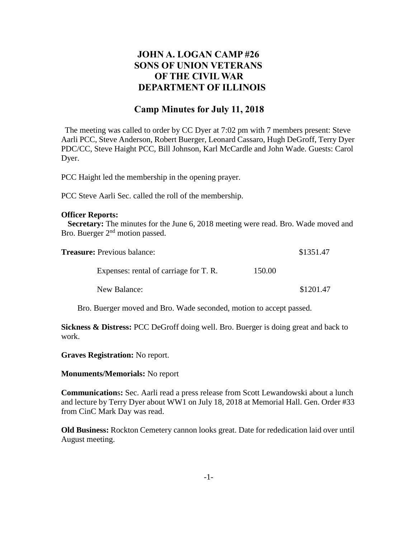# **JOHN A. LOGAN CAMP #26 SONS OF UNION VETERANS OF THE CIVIL WAR DEPARTMENT OF ILLINOIS**

## **Camp Minutes for July 11, 2018**

The meeting was called to order by CC Dyer at 7:02 pm with 7 members present: Steve Aarli PCC, Steve Anderson, Robert Buerger, Leonard Cassaro, Hugh DeGroff, Terry Dyer PDC/CC, Steve Haight PCC, Bill Johnson, Karl McCardle and John Wade. Guests: Carol Dyer.

PCC Haight led the membership in the opening prayer.

PCC Steve Aarli Sec. called the roll of the membership.

#### **Officer Reports:**

 **Secretary:** The minutes for the June 6, 2018 meeting were read. Bro. Wade moved and Bro. Buerger 2<sup>nd</sup> motion passed.

| <b>Treasure:</b> Previous balance: |                                        |        | \$1351.47 |
|------------------------------------|----------------------------------------|--------|-----------|
|                                    | Expenses: rental of carriage for T. R. | 150.00 |           |
|                                    | New Balance:                           |        | \$1201.47 |

Bro. Buerger moved and Bro. Wade seconded, motion to accept passed.

**Sickness & Distress:** PCC DeGroff doing well. Bro. Buerger is doing great and back to work.

**Graves Registration:** No report.

**Monuments/Memorials:** No report

**Communication**s**:** Sec. Aarli read a press release from Scott Lewandowski about a lunch and lecture by Terry Dyer about WW1 on July 18, 2018 at Memorial Hall. Gen. Order #33 from CinC Mark Day was read.

**Old Business:** Rockton Cemetery cannon looks great. Date for rededication laid over until August meeting.